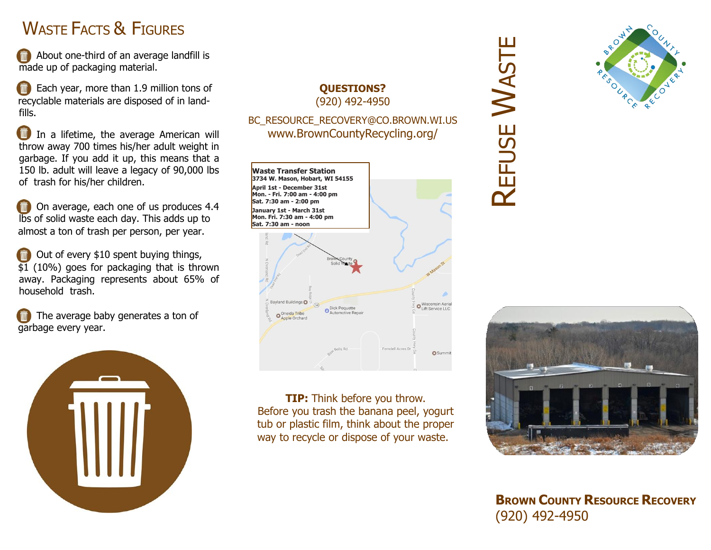# WASTE FACTS & FIGURES

About one-third of an average landfill is made up of packaging material.

Each year, more than 1.9 million tons of recyclable materials are disposed of in landfills.

In a lifetime, the average American will throw away 700 times his/her adult weight in garbage. If you add it up, this means that a 150 lb. adult will leave a legacy of 90,000 lbs of trash for his/her children.

On average, each one of us produces 4.4 lbs of solid waste each day. This adds up to almost a ton of trash per person, per year.

Out of every \$10 spent buying things, \$1 (10%) goes for packaging that is thrown away. Packaging represents about 65% of household trash.

The average baby generates a ton of garbage every year.



#### **QUESTIONS?** (920) 492-4950

#### BC\_RESOURCE\_RECOVERY@CO.BROWN.WI.US www.BrownCountyRecycling.org/



**TIP:** Think before you throw. Before you trash the banana peel, yogurt tub or plastic film, think about the proper way to recycle or dispose of your waste.

# **REFUSE** WASTE



**BROWN COUNTY RESOURCE RECOVERY** (920) 492-4950